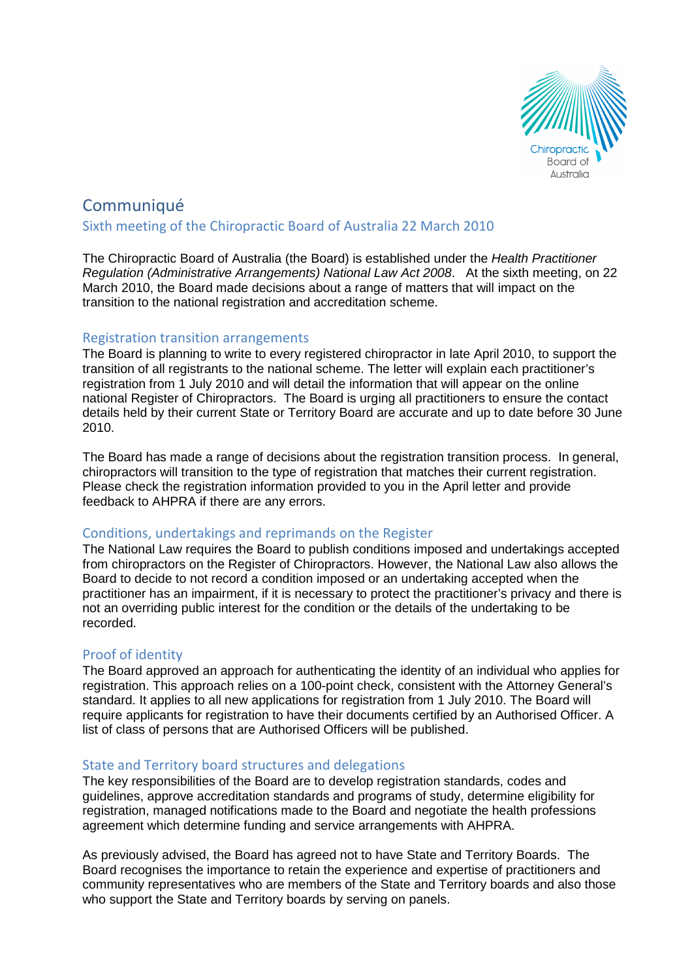

# **Communiqué** Sixth meeting of the Chiropractic Board of Australia 22 March 2010

The Chiropractic Board of Australia (the Board) is established under the Health Practitioner Regulation (Administrative Arrangements) National Law Act 2008. At the sixth meeting, on 22 March 2010, the Board made decisions about a range of matters that will impact on the transition to the national registration and accreditation scheme.

## Registration transition arrangements

The Board is planning to write to every registered chiropractor in late April 2010, to support the transition of all registrants to the national scheme. The letter will explain each practitioner's registration from 1 July 2010 and will detail the information that will appear on the online national Register of Chiropractors. The Board is urging all practitioners to ensure the contact details held by their current State or Territory Board are accurate and up to date before 30 June 2010.

The Board has made a range of decisions about the registration transition process. In general, chiropractors will transition to the type of registration that matches their current registration. Please check the registration information provided to you in the April letter and provide feedback to AHPRA if there are any errors.

### Conditions, undertakings and reprimands on the Register

The National Law requires the Board to publish conditions imposed and undertakings accepted from chiropractors on the Register of Chiropractors. However, the National Law also allows the Board to decide to not record a condition imposed or an undertaking accepted when the practitioner has an impairment, if it is necessary to protect the practitioner's privacy and there is not an overriding public interest for the condition or the details of the undertaking to be recorded.

### Proof of identity

The Board approved an approach for authenticating the identity of an individual who applies for registration. This approach relies on a 100-point check, consistent with the Attorney General's standard. It applies to all new applications for registration from 1 July 2010. The Board will require applicants for registration to have their documents certified by an Authorised Officer. A list of class of persons that are Authorised Officers will be published.

### State and Territory board structures and delegations

The key responsibilities of the Board are to develop registration standards, codes and guidelines, approve accreditation standards and programs of study, determine eligibility for registration, managed notifications made to the Board and negotiate the health professions agreement which determine funding and service arrangements with AHPRA.

As previously advised, the Board has agreed not to have State and Territory Boards. The Board recognises the importance to retain the experience and expertise of practitioners and community representatives who are members of the State and Territory boards and also those who support the State and Territory boards by serving on panels.